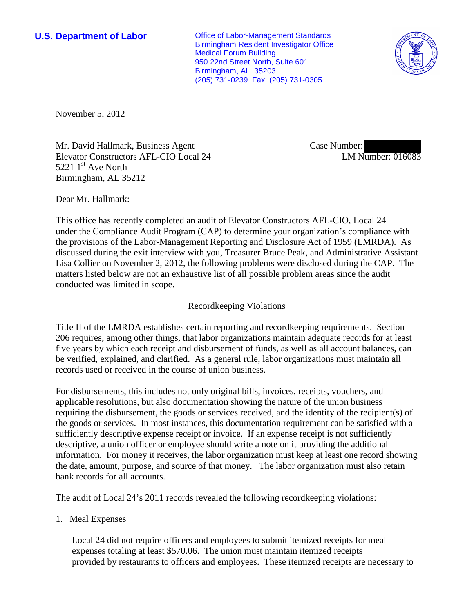**U.S. Department of Labor Conservative Conservative Conservative Conservative Conservative Conservative Conservative Conservative Conservative Conservative Conservative Conservative Conservative Conservative Conservative** Birmingham Resident Investigator Office Medical Forum Building 950 22nd Street North, Suite 601 Birmingham, AL 35203 (205) 731-0239 Fax: (205) 731-0305



November 5, 2012

Mr. David Hallmark, Business Agent Elevator Constructors AFL-CIO Local 24 5221  $1<sup>st</sup>$  Ave North Birmingham, AL 35212

Case Number: LM Number: 016083

Dear Mr. Hallmark:

This office has recently completed an audit of Elevator Constructors AFL-CIO, Local 24 under the Compliance Audit Program (CAP) to determine your organization's compliance with the provisions of the Labor-Management Reporting and Disclosure Act of 1959 (LMRDA). As discussed during the exit interview with you, Treasurer Bruce Peak, and Administrative Assistant Lisa Collier on November 2, 2012, the following problems were disclosed during the CAP. The matters listed below are not an exhaustive list of all possible problem areas since the audit conducted was limited in scope.

## Recordkeeping Violations

Title II of the LMRDA establishes certain reporting and recordkeeping requirements. Section 206 requires, among other things, that labor organizations maintain adequate records for at least five years by which each receipt and disbursement of funds, as well as all account balances, can be verified, explained, and clarified. As a general rule, labor organizations must maintain all records used or received in the course of union business.

For disbursements, this includes not only original bills, invoices, receipts, vouchers, and applicable resolutions, but also documentation showing the nature of the union business requiring the disbursement, the goods or services received, and the identity of the recipient(s) of the goods or services. In most instances, this documentation requirement can be satisfied with a sufficiently descriptive expense receipt or invoice. If an expense receipt is not sufficiently descriptive, a union officer or employee should write a note on it providing the additional information. For money it receives, the labor organization must keep at least one record showing the date, amount, purpose, and source of that money. The labor organization must also retain bank records for all accounts.

The audit of Local 24's 2011 records revealed the following recordkeeping violations:

### 1. Meal Expenses

 Local 24 did not require officers and employees to submit itemized receipts for meal expenses totaling at least \$570.06. The union must maintain itemized receipts provided by restaurants to officers and employees. These itemized receipts are necessary to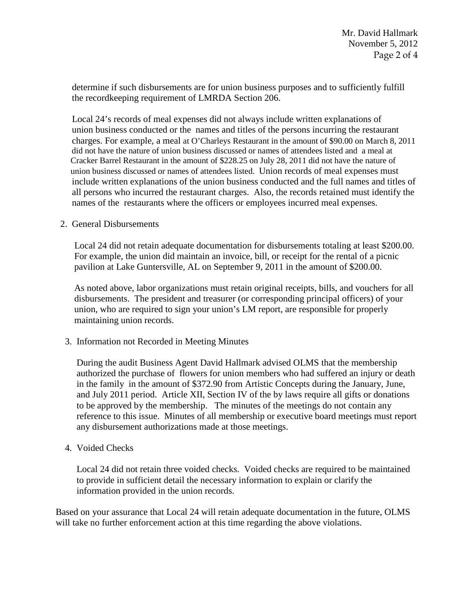determine if such disbursements are for union business purposes and to sufficiently fulfill the recordkeeping requirement of LMRDA Section 206.

 Local 24's records of meal expenses did not always include written explanations of union business conducted or the names and titles of the persons incurring the restaurant charges. For example, a meal at O'Charleys Restaurant in the amount of \$90.00 on March 8, 2011 did not have the nature of union business discussed or names of attendees listed and a meal at Cracker Barrel Restaurant in the amount of \$228.25 on July 28, 2011 did not have the nature of union business discussed or names of attendees listed. Union records of meal expenses must include written explanations of the union business conducted and the full names and titles of all persons who incurred the restaurant charges. Also, the records retained must identify the names of the restaurants where the officers or employees incurred meal expenses.

### 2. General Disbursements

 Local 24 did not retain adequate documentation for disbursements totaling at least \$200.00. For example, the union did maintain an invoice, bill, or receipt for the rental of a picnic pavilion at Lake Guntersville, AL on September 9, 2011 in the amount of \$200.00.

 As noted above, labor organizations must retain original receipts, bills, and vouchers for all disbursements. The president and treasurer (or corresponding principal officers) of your union, who are required to sign your union's LM report, are responsible for properly maintaining union records.

3. Information not Recorded in Meeting Minutes

 During the audit Business Agent David Hallmark advised OLMS that the membership authorized the purchase of flowers for union members who had suffered an injury or death in the family in the amount of \$372.90 from Artistic Concepts during the January, June, and July 2011 period. Article XII, Section IV of the by laws require all gifts or donations to be approved by the membership. The minutes of the meetings do not contain any reference to this issue. Minutes of all membership or executive board meetings must report any disbursement authorizations made at those meetings.

### 4. Voided Checks

 Local 24 did not retain three voided checks. Voided checks are required to be maintained to provide in sufficient detail the necessary information to explain or clarify the information provided in the union records.

Based on your assurance that Local 24 will retain adequate documentation in the future, OLMS will take no further enforcement action at this time regarding the above violations.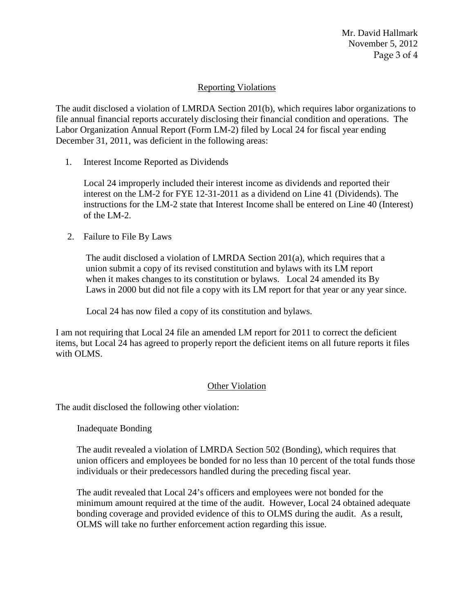Mr. David Hallmark November 5, 2012 Page 3 of 4

# Reporting Violations

The audit disclosed a violation of LMRDA Section 201(b), which requires labor organizations to file annual financial reports accurately disclosing their financial condition and operations. The Labor Organization Annual Report (Form LM-2) filed by Local 24 for fiscal year ending December 31, 2011, was deficient in the following areas:

1. Interest Income Reported as Dividends

 Local 24 improperly included their interest income as dividends and reported their interest on the LM-2 for FYE 12-31-2011 as a dividend on Line 41 (Dividends). The instructions for the LM-2 state that Interest Income shall be entered on Line 40 (Interest) of the LM-2.

2. Failure to File By Laws

The audit disclosed a violation of LMRDA Section 201(a), which requires that a union submit a copy of its revised constitution and bylaws with its LM report when it makes changes to its constitution or bylaws. Local 24 amended its By Laws in 2000 but did not file a copy with its LM report for that year or any year since.

Local 24 has now filed a copy of its constitution and bylaws.

I am not requiring that Local 24 file an amended LM report for 2011 to correct the deficient items, but Local 24 has agreed to properly report the deficient items on all future reports it files with OLMS.

#### **Other Violation**

The audit disclosed the following other violation:

Inadequate Bonding

The audit revealed a violation of LMRDA Section 502 (Bonding), which requires that union officers and employees be bonded for no less than 10 percent of the total funds those individuals or their predecessors handled during the preceding fiscal year.

The audit revealed that Local 24's officers and employees were not bonded for the minimum amount required at the time of the audit. However, Local 24 obtained adequate bonding coverage and provided evidence of this to OLMS during the audit. As a result, OLMS will take no further enforcement action regarding this issue.